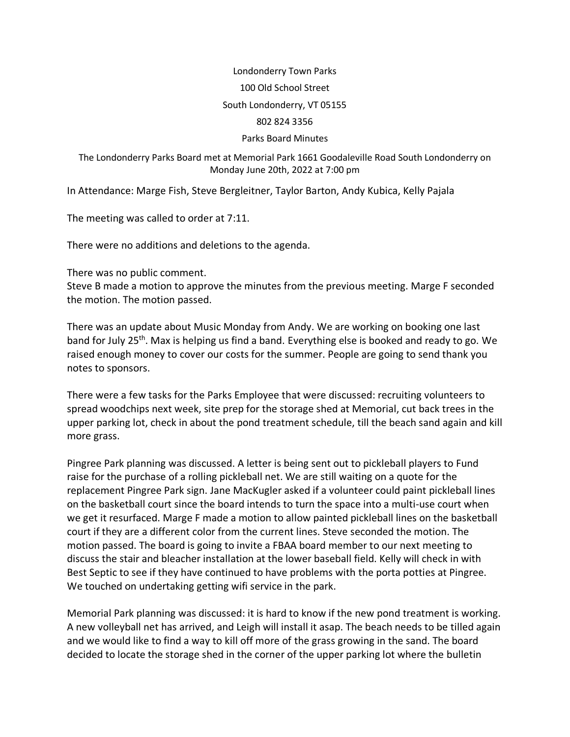## Londonderry Town Parks 100 Old School Street South Londonderry, VT 05155 802 824 3356

## Parks Board Minutes

The Londonderry Parks Board met at Memorial Park 1661 Goodaleville Road South Londonderry on Monday June 20th, 2022 at 7:00 pm

In Attendance: Marge Fish, Steve Bergleitner, Taylor Barton, Andy Kubica, Kelly Pajala

The meeting was called to order at 7:11.

There were no additions and deletions to the agenda.

There was no public comment.

Steve B made a motion to approve the minutes from the previous meeting. Marge F seconded the motion. The motion passed.

There was an update about Music Monday from Andy. We are working on booking one last band for July 25<sup>th</sup>. Max is helping us find a band. Everything else is booked and ready to go. We raised enough money to cover our costs for the summer. People are going to send thank you notes to sponsors.

There were a few tasks for the Parks Employee that were discussed: recruiting volunteers to spread woodchips next week, site prep for the storage shed at Memorial, cut back trees in the upper parking lot, check in about the pond treatment schedule, till the beach sand again and kill more grass.

Pingree Park planning was discussed. A letter is being sent out to pickleball players to Fund raise for the purchase of a rolling pickleball net. We are still waiting on a quote for the replacement Pingree Park sign. Jane MacKugler asked if a volunteer could paint pickleball lines on the basketball court since the board intends to turn the space into a multi-use court when we get it resurfaced. Marge F made a motion to allow painted pickleball lines on the basketball court if they are a different color from the current lines. Steve seconded the motion. The motion passed. The board is going to invite a FBAA board member to our next meeting to discuss the stair and bleacher installation at the lower baseball field. Kelly will check in with Best Septic to see if they have continued to have problems with the porta potties at Pingree. We touched on undertaking getting wifi service in the park.

Memorial Park planning was discussed: it is hard to know if the new pond treatment is working. A new volleyball net has arrived, and Leigh will install it asap. The beach needs to be tilled again and we would like to find a way to kill off more of the grass growing in the sand. The board decided to locate the storage shed in the corner of the upper parking lot where the bulletin